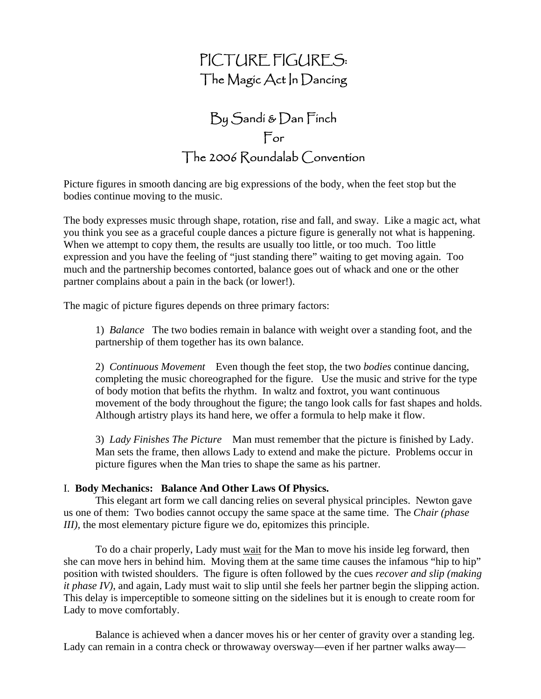# PICTURE FIGURES: The Magic Act In Dancing

# By Sandi & Dan Finch For  $\Box$  he 2006  $\Diamond$  convention

Picture figures in smooth dancing are big expressions of the body, when the feet stop but the bodies continue moving to the music.

The body expresses music through shape, rotation, rise and fall, and sway. Like a magic act, what you think you see as a graceful couple dances a picture figure is generally not what is happening. When we attempt to copy them, the results are usually too little, or too much. Too little expression and you have the feeling of "just standing there" waiting to get moving again. Too much and the partnership becomes contorted, balance goes out of whack and one or the other partner complains about a pain in the back (or lower!).

The magic of picture figures depends on three primary factors:

1) *Balance* The two bodies remain in balance with weight over a standing foot, and the partnership of them together has its own balance.

2) *Continuous Movement* Even though the feet stop, the two *bodies* continue dancing, completing the music choreographed for the figure. Use the music and strive for the type of body motion that befits the rhythm. In waltz and foxtrot, you want continuous movement of the body throughout the figure; the tango look calls for fast shapes and holds. Although artistry plays its hand here, we offer a formula to help make it flow.

3) *Lady Finishes The Picture* Man must remember that the picture is finished by Lady. Man sets the frame, then allows Lady to extend and make the picture. Problems occur in picture figures when the Man tries to shape the same as his partner.

## I. **Body Mechanics: Balance And Other Laws Of Physics.**

 This elegant art form we call dancing relies on several physical principles. Newton gave us one of them: Two bodies cannot occupy the same space at the same time. The *Chair (phase III*), the most elementary picture figure we do, epitomizes this principle.

 To do a chair properly, Lady must wait for the Man to move his inside leg forward, then she can move hers in behind him. Moving them at the same time causes the infamous "hip to hip" position with twisted shoulders. The figure is often followed by the cues *recover and slip (making it phase IV)*, and again, Lady must wait to slip until she feels her partner begin the slipping action. This delay is imperceptible to someone sitting on the sidelines but it is enough to create room for Lady to move comfortably.

 Balance is achieved when a dancer moves his or her center of gravity over a standing leg. Lady can remain in a contra check or throwaway oversway—even if her partner walks away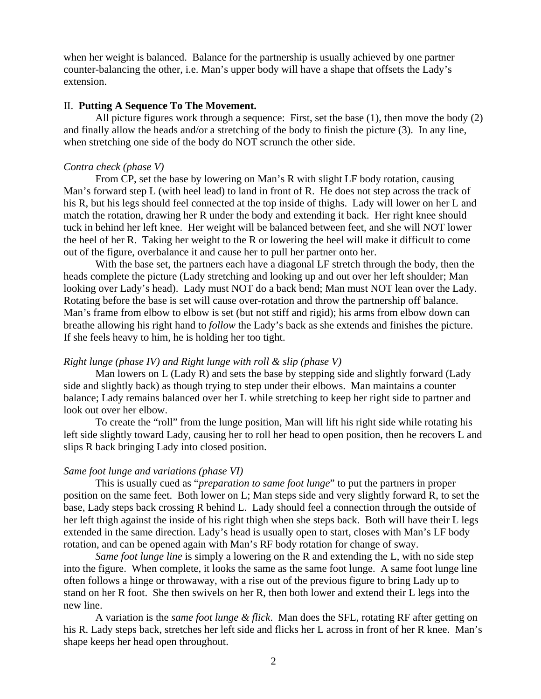when her weight is balanced. Balance for the partnership is usually achieved by one partner counter-balancing the other, i.e. Man's upper body will have a shape that offsets the Lady's extension.

### II. **Putting A Sequence To The Movement.**

All picture figures work through a sequence: First, set the base (1), then move the body (2) and finally allow the heads and/or a stretching of the body to finish the picture (3). In any line, when stretching one side of the body do NOT scrunch the other side.

## *Contra check (phase V)*

 From CP, set the base by lowering on Man's R with slight LF body rotation, causing Man's forward step L (with heel lead) to land in front of R. He does not step across the track of his R, but his legs should feel connected at the top inside of thighs. Lady will lower on her L and match the rotation, drawing her R under the body and extending it back. Her right knee should tuck in behind her left knee. Her weight will be balanced between feet, and she will NOT lower the heel of her R. Taking her weight to the R or lowering the heel will make it difficult to come out of the figure, overbalance it and cause her to pull her partner onto her.

 With the base set, the partners each have a diagonal LF stretch through the body, then the heads complete the picture (Lady stretching and looking up and out over her left shoulder; Man looking over Lady's head). Lady must NOT do a back bend; Man must NOT lean over the Lady. Rotating before the base is set will cause over-rotation and throw the partnership off balance. Man's frame from elbow to elbow is set (but not stiff and rigid); his arms from elbow down can breathe allowing his right hand to *follow* the Lady's back as she extends and finishes the picture. If she feels heavy to him, he is holding her too tight.

## *Right lunge (phase IV) and Right lunge with roll & slip (phase V)*

Man lowers on L (Lady R) and sets the base by stepping side and slightly forward (Lady side and slightly back) as though trying to step under their elbows. Man maintains a counter balance; Lady remains balanced over her L while stretching to keep her right side to partner and look out over her elbow.

To create the "roll" from the lunge position, Man will lift his right side while rotating his left side slightly toward Lady, causing her to roll her head to open position, then he recovers L and slips R back bringing Lady into closed position.

## *Same foot lunge and variations (phase VI)*

 This is usually cued as "*preparation to same foot lunge*" to put the partners in proper position on the same feet. Both lower on L; Man steps side and very slightly forward R, to set the base, Lady steps back crossing R behind L. Lady should feel a connection through the outside of her left thigh against the inside of his right thigh when she steps back. Both will have their L legs extended in the same direction. Lady's head is usually open to start, closes with Man's LF body rotation, and can be opened again with Man's RF body rotation for change of sway.

*Same foot lunge line* is simply a lowering on the R and extending the L, with no side step into the figure. When complete, it looks the same as the same foot lunge. A same foot lunge line often follows a hinge or throwaway, with a rise out of the previous figure to bring Lady up to stand on her R foot. She then swivels on her R, then both lower and extend their L legs into the new line.

 A variation is the *same foot lunge & flick*. Man does the SFL, rotating RF after getting on his R. Lady steps back, stretches her left side and flicks her L across in front of her R knee. Man's shape keeps her head open throughout.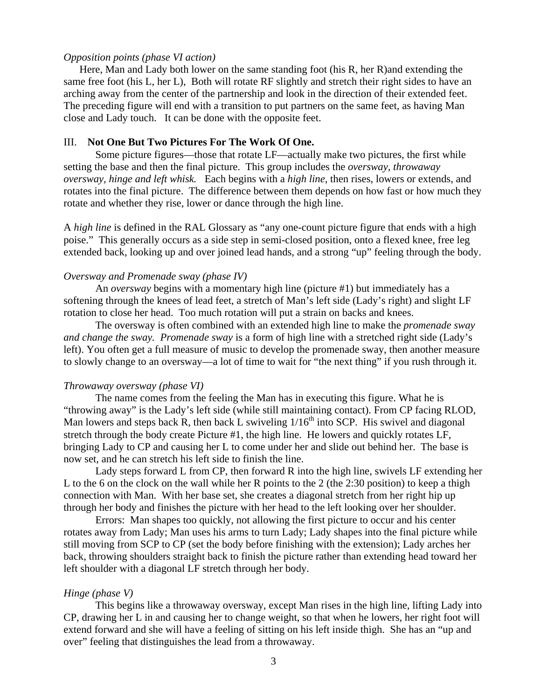## *Opposition points (phase VI action)*

 Here, Man and Lady both lower on the same standing foot (his R, her R)and extending the same free foot (his L, her L), Both will rotate RF slightly and stretch their right sides to have an arching away from the center of the partnership and look in the direction of their extended feet. The preceding figure will end with a transition to put partners on the same feet, as having Man close and Lady touch. It can be done with the opposite feet.

### III. **Not One But Two Pictures For The Work Of One.**

Some picture figures—those that rotate LF—actually make two pictures, the first while setting the base and then the final picture. This group includes the *oversway, throwaway oversway, hinge and left whisk.* Each begins with a *high line*, then rises, lowers or extends, and rotates into the final picture. The difference between them depends on how fast or how much they rotate and whether they rise, lower or dance through the high line.

A *high line* is defined in the RAL Glossary as "any one-count picture figure that ends with a high poise." This generally occurs as a side step in semi-closed position, onto a flexed knee, free leg extended back, looking up and over joined lead hands, and a strong "up" feeling through the body.

# *Oversway and Promenade sway (phase IV)*

An *oversway* begins with a momentary high line (picture #1) but immediately has a softening through the knees of lead feet, a stretch of Man's left side (Lady's right) and slight LF rotation to close her head. Too much rotation will put a strain on backs and knees.

The oversway is often combined with an extended high line to make the *promenade sway and change the sway. Promenade sway* is a form of high line with a stretched right side (Lady's left). You often get a full measure of music to develop the promenade sway, then another measure to slowly change to an oversway—a lot of time to wait for "the next thing" if you rush through it.

#### *Throwaway oversway (phase VI)*

 The name comes from the feeling the Man has in executing this figure. What he is "throwing away" is the Lady's left side (while still maintaining contact). From CP facing RLOD, Man lowers and steps back R, then back L swiveling  $1/16<sup>th</sup>$  into SCP. His swivel and diagonal stretch through the body create Picture #1, the high line. He lowers and quickly rotates LF, bringing Lady to CP and causing her L to come under her and slide out behind her. The base is now set, and he can stretch his left side to finish the line.

 Lady steps forward L from CP, then forward R into the high line, swivels LF extending her L to the 6 on the clock on the wall while her R points to the 2 (the 2:30 position) to keep a thigh connection with Man. With her base set, she creates a diagonal stretch from her right hip up through her body and finishes the picture with her head to the left looking over her shoulder.

 Errors: Man shapes too quickly, not allowing the first picture to occur and his center rotates away from Lady; Man uses his arms to turn Lady; Lady shapes into the final picture while still moving from SCP to CP (set the body before finishing with the extension); Lady arches her back, throwing shoulders straight back to finish the picture rather than extending head toward her left shoulder with a diagonal LF stretch through her body.

## *Hinge (phase V)*

 This begins like a throwaway oversway, except Man rises in the high line, lifting Lady into CP, drawing her L in and causing her to change weight, so that when he lowers, her right foot will extend forward and she will have a feeling of sitting on his left inside thigh. She has an "up and over" feeling that distinguishes the lead from a throwaway.